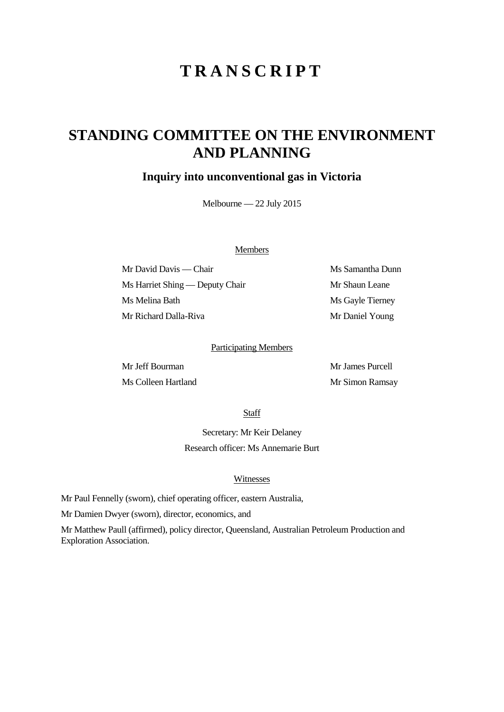# **TRANSCRIPT**

## **STANDING COMMITTEE ON THE ENVIRONMENT AND PLANNING**

### **Inquiry into unconventional gas in Victoria**

Melbourne — 22 July 2015

#### Members

Mr David Davis — Chair Ms Samantha Dunn Ms Harriet Shing — Deputy Chair Mr Shaun Leane Ms Melina Bath Ms Gayle Tierney Mr Richard Dalla-Riva Mr Daniel Young

#### Participating Members

Mr Jeff Bourman Mr James Purcell Ms Colleen Hartland Mr Simon Ramsay

Staff

Secretary: Mr Keir Delaney Research officer: Ms Annemarie Burt

#### Witnesses

Mr Paul Fennelly (sworn), chief operating officer, eastern Australia,

Mr Damien Dwyer (sworn), director, economics, and

Mr Matthew Paull (affirmed), policy director, Queensland, Australian Petroleum Production and Exploration Association.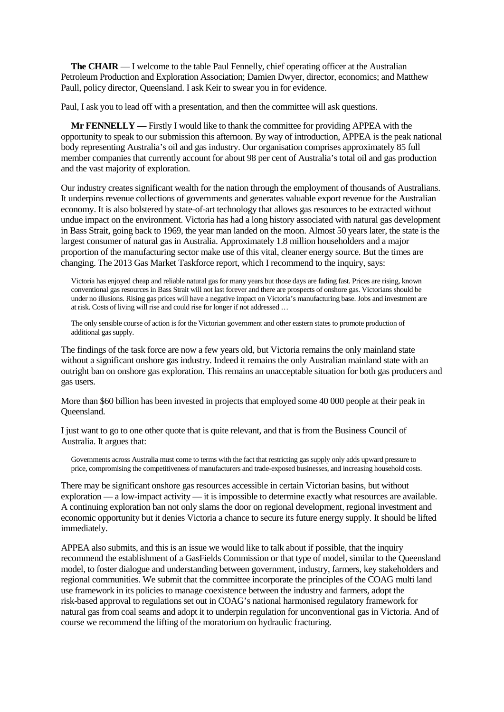**The CHAIR** — I welcome to the table Paul Fennelly, chief operating officer at the Australian Petroleum Production and Exploration Association; Damien Dwyer, director, economics; and Matthew Paull, policy director, Queensland. I ask Keir to swear you in for evidence.

Paul, I ask you to lead off with a presentation, and then the committee will ask questions.

**Mr FENNELLY** — Firstly I would like to thank the committee for providing APPEA with the opportunity to speak to our submission this afternoon. By way of introduction, APPEA is the peak national body representing Australia's oil and gas industry. Our organisation comprises approximately 85 full member companies that currently account for about 98 per cent of Australia's total oil and gas production and the vast majority of exploration.

Our industry creates significant wealth for the nation through the employment of thousands of Australians. It underpins revenue collections of governments and generates valuable export revenue for the Australian economy. It is also bolstered by state-of-art technology that allows gas resources to be extracted without undue impact on the environment. Victoria has had a long history associated with natural gas development in Bass Strait, going back to 1969, the year man landed on the moon. Almost 50 years later, the state is the largest consumer of natural gas in Australia. Approximately 1.8 million householders and a major proportion of the manufacturing sector make use of this vital, cleaner energy source. But the times are changing. The 2013 Gas Market Taskforce report, which I recommend to the inquiry, says:

Victoria has enjoyed cheap and reliable natural gas for many years but those days are fading fast. Prices are rising, known conventional gas resources in Bass Strait will not last forever and there are prospects of onshore gas. Victorians should be under no illusions. Rising gas prices will have a negative impact on Victoria's manufacturing base. Jobs and investment are at risk. Costs of living will rise and could rise for longer if not addressed …

The only sensible course of action is for the Victorian government and other eastern states to promote production of additional gas supply.

The findings of the task force are now a few years old, but Victoria remains the only mainland state without a significant onshore gas industry. Indeed it remains the only Australian mainland state with an outright ban on onshore gas exploration. This remains an unacceptable situation for both gas producers and gas users.

More than \$60 billion has been invested in projects that employed some 40 000 people at their peak in Queensland.

I just want to go to one other quote that is quite relevant, and that is from the Business Council of Australia. It argues that:

Governments across Australia must come to terms with the fact that restricting gas supply only adds upward pressure to price, compromising the competitiveness of manufacturers and trade-exposed businesses, and increasing household costs.

There may be significant onshore gas resources accessible in certain Victorian basins, but without exploration — a low-impact activity — it is impossible to determine exactly what resources are available. A continuing exploration ban not only slams the door on regional development, regional investment and economic opportunity but it denies Victoria a chance to secure its future energy supply. It should be lifted immediately.

APPEA also submits, and this is an issue we would like to talk about if possible, that the inquiry recommend the establishment of a GasFields Commission or that type of model, similar to the Queensland model, to foster dialogue and understanding between government, industry, farmers, key stakeholders and regional communities. We submit that the committee incorporate the principles of the COAG multi land use framework in its policies to manage coexistence between the industry and farmers, adopt the risk-based approval to regulations set out in COAG's national harmonised regulatory framework for natural gas from coal seams and adopt it to underpin regulation for unconventional gas in Victoria. And of course we recommend the lifting of the moratorium on hydraulic fracturing.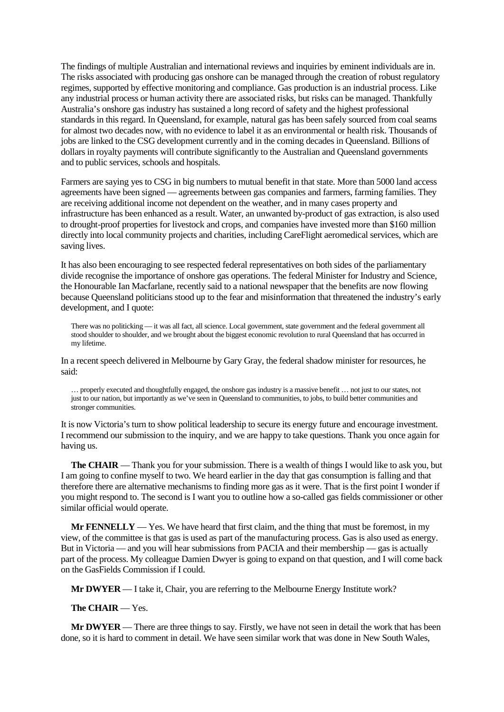The findings of multiple Australian and international reviews and inquiries by eminent individuals are in. The risks associated with producing gas onshore can be managed through the creation of robust regulatory regimes, supported by effective monitoring and compliance. Gas production is an industrial process. Like any industrial process or human activity there are associated risks, but risks can be managed. Thankfully Australia's onshore gas industry has sustained a long record of safety and the highest professional standards in this regard. In Queensland, for example, natural gas has been safely sourced from coal seams for almost two decades now, with no evidence to label it as an environmental or health risk. Thousands of jobs are linked to the CSG development currently and in the coming decades in Queensland. Billions of dollars in royalty payments will contribute significantly to the Australian and Queensland governments and to public services, schools and hospitals.

Farmers are saying yes to CSG in big numbers to mutual benefit in that state. More than 5000 land access agreements have been signed — agreements between gas companies and farmers, farming families. They are receiving additional income not dependent on the weather, and in many cases property and infrastructure has been enhanced as a result. Water, an unwanted by-product of gas extraction, is also used to drought-proof properties for livestock and crops, and companies have invested more than \$160 million directly into local community projects and charities, including CareFlight aeromedical services, which are saving lives.

It has also been encouraging to see respected federal representatives on both sides of the parliamentary divide recognise the importance of onshore gas operations. The federal Minister for Industry and Science, the Honourable Ian Macfarlane, recently said to a national newspaper that the benefits are now flowing because Queensland politicians stood up to the fear and misinformation that threatened the industry's early development, and I quote:

There was no politicking — it was all fact, all science. Local government, state government and the federal government all stood shoulder to shoulder, and we brought about the biggest economic revolution to rural Queensland that has occurred in my lifetime.

In a recent speech delivered in Melbourne by Gary Gray, the federal shadow minister for resources, he said:

… properly executed and thoughtfully engaged, the onshore gas industry is a massive benefit … not just to our states, not just to our nation, but importantly as we've seen in Queensland to communities, to jobs, to build better communities and stronger communities.

It is now Victoria's turn to show political leadership to secure its energy future and encourage investment. I recommend our submission to the inquiry, and we are happy to take questions. Thank you once again for having us.

**The CHAIR** — Thank you for your submission. There is a wealth of things I would like to ask you, but I am going to confine myself to two. We heard earlier in the day that gas consumption is falling and that therefore there are alternative mechanisms to finding more gas as it were. That is the first point I wonder if you might respond to. The second is I want you to outline how a so-called gas fields commissioner or other similar official would operate.

**Mr FENNELLY** — Yes. We have heard that first claim, and the thing that must be foremost, in my view, of the committee is that gas is used as part of the manufacturing process. Gas is also used as energy. But in Victoria — and you will hear submissions from PACIA and their membership — gas is actually part of the process. My colleague Damien Dwyer is going to expand on that question, and I will come back on the GasFields Commission if I could.

**Mr DWYER** — I take it, Chair, you are referring to the Melbourne Energy Institute work?

**The CHAIR** — Yes.

**Mr DWYER** — There are three things to say. Firstly, we have not seen in detail the work that has been done, so it is hard to comment in detail. We have seen similar work that was done in New South Wales,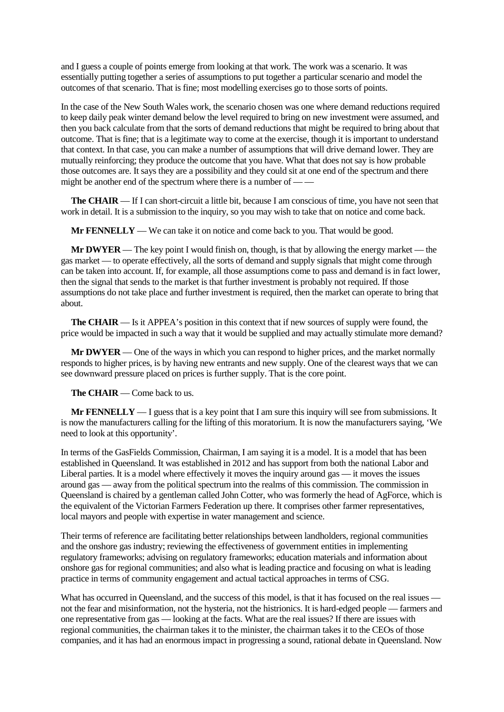and I guess a couple of points emerge from looking at that work. The work was a scenario. It was essentially putting together a series of assumptions to put together a particular scenario and model the outcomes of that scenario. That is fine; most modelling exercises go to those sorts of points.

In the case of the New South Wales work, the scenario chosen was one where demand reductions required to keep daily peak winter demand below the level required to bring on new investment were assumed, and then you back calculate from that the sorts of demand reductions that might be required to bring about that outcome. That is fine; that is a legitimate way to come at the exercise, though it is important to understand that context. In that case, you can make a number of assumptions that will drive demand lower. They are mutually reinforcing; they produce the outcome that you have. What that does not say is how probable those outcomes are. It says they are a possibility and they could sit at one end of the spectrum and there might be another end of the spectrum where there is a number of  $-\frac{1}{\sqrt{2}}$ 

**The CHAIR** — If I can short-circuit a little bit, because I am conscious of time, you have not seen that work in detail. It is a submission to the inquiry, so you may wish to take that on notice and come back.

**Mr FENNELLY** — We can take it on notice and come back to you. That would be good.

**Mr DWYER** — The key point I would finish on, though, is that by allowing the energy market — the gas market — to operate effectively, all the sorts of demand and supply signals that might come through can be taken into account. If, for example, all those assumptions come to pass and demand is in fact lower, then the signal that sends to the market is that further investment is probably not required. If those assumptions do not take place and further investment is required, then the market can operate to bring that about.

**The CHAIR** — Is it APPEA's position in this context that if new sources of supply were found, the price would be impacted in such a way that it would be supplied and may actually stimulate more demand?

**Mr DWYER** — One of the ways in which you can respond to higher prices, and the market normally responds to higher prices, is by having new entrants and new supply. One of the clearest ways that we can see downward pressure placed on prices is further supply. That is the core point.

**The CHAIR** — Come back to us.

**Mr FENNELLY** — I guess that is a key point that I am sure this inquiry will see from submissions. It is now the manufacturers calling for the lifting of this moratorium. It is now the manufacturers saying, 'We need to look at this opportunity'.

In terms of the GasFields Commission, Chairman, I am saying it is a model. It is a model that has been established in Queensland. It was established in 2012 and has support from both the national Labor and Liberal parties. It is a model where effectively it moves the inquiry around gas — it moves the issues around gas — away from the political spectrum into the realms of this commission. The commission in Queensland is chaired by a gentleman called John Cotter, who was formerly the head of AgForce, which is the equivalent of the Victorian Farmers Federation up there. It comprises other farmer representatives, local mayors and people with expertise in water management and science.

Their terms of reference are facilitating better relationships between landholders, regional communities and the onshore gas industry; reviewing the effectiveness of government entities in implementing regulatory frameworks; advising on regulatory frameworks; education materials and information about onshore gas for regional communities; and also what is leading practice and focusing on what is leading practice in terms of community engagement and actual tactical approaches in terms of CSG.

What has occurred in Queensland, and the success of this model, is that it has focused on the real issues not the fear and misinformation, not the hysteria, not the histrionics. It is hard-edged people — farmers and one representative from gas — looking at the facts. What are the real issues? If there are issues with regional communities, the chairman takes it to the minister, the chairman takes it to the CEOs of those companies, and it has had an enormous impact in progressing a sound, rational debate in Queensland. Now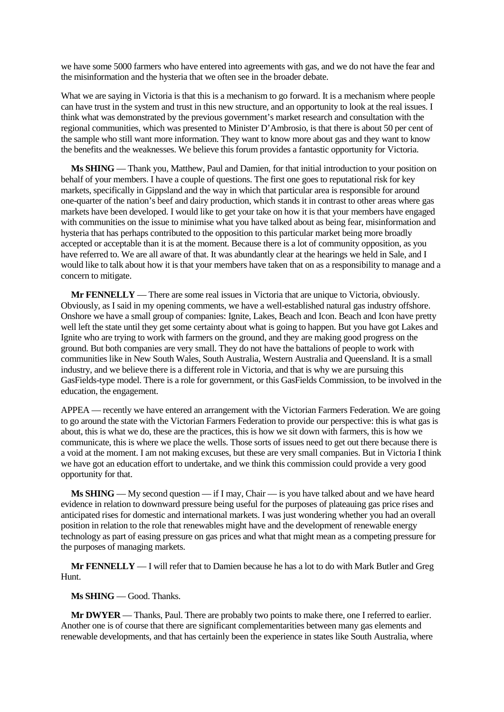we have some 5000 farmers who have entered into agreements with gas, and we do not have the fear and the misinformation and the hysteria that we often see in the broader debate.

What we are saying in Victoria is that this is a mechanism to go forward. It is a mechanism where people can have trust in the system and trust in this new structure, and an opportunity to look at the real issues. I think what was demonstrated by the previous government's market research and consultation with the regional communities, which was presented to Minister D'Ambrosio, is that there is about 50 per cent of the sample who still want more information. They want to know more about gas and they want to know the benefits and the weaknesses. We believe this forum provides a fantastic opportunity for Victoria.

**Ms SHING** — Thank you, Matthew, Paul and Damien, for that initial introduction to your position on behalf of your members. I have a couple of questions. The first one goes to reputational risk for key markets, specifically in Gippsland and the way in which that particular area is responsible for around one-quarter of the nation's beef and dairy production, which stands it in contrast to other areas where gas markets have been developed. I would like to get your take on how it is that your members have engaged with communities on the issue to minimise what you have talked about as being fear, misinformation and hysteria that has perhaps contributed to the opposition to this particular market being more broadly accepted or acceptable than it is at the moment. Because there is a lot of community opposition, as you have referred to. We are all aware of that. It was abundantly clear at the hearings we held in Sale, and I would like to talk about how it is that your members have taken that on as a responsibility to manage and a concern to mitigate.

**Mr FENNELLY** — There are some real issues in Victoria that are unique to Victoria, obviously. Obviously, as I said in my opening comments, we have a well-established natural gas industry offshore. Onshore we have a small group of companies: Ignite, Lakes, Beach and Icon. Beach and Icon have pretty well left the state until they get some certainty about what is going to happen. But you have got Lakes and Ignite who are trying to work with farmers on the ground, and they are making good progress on the ground. But both companies are very small. They do not have the battalions of people to work with communities like in New South Wales, South Australia, Western Australia and Queensland. It is a small industry, and we believe there is a different role in Victoria, and that is why we are pursuing this GasFields-type model. There is a role for government, or this GasFields Commission, to be involved in the education, the engagement.

APPEA — recently we have entered an arrangement with the Victorian Farmers Federation. We are going to go around the state with the Victorian Farmers Federation to provide our perspective: this is what gas is about, this is what we do, these are the practices, this is how we sit down with farmers, this is how we communicate, this is where we place the wells. Those sorts of issues need to get out there because there is a void at the moment. I am not making excuses, but these are very small companies. But in Victoria I think we have got an education effort to undertake, and we think this commission could provide a very good opportunity for that.

**Ms SHING** — My second question — if I may, Chair — is you have talked about and we have heard evidence in relation to downward pressure being useful for the purposes of plateauing gas price rises and anticipated rises for domestic and international markets. I was just wondering whether you had an overall position in relation to the role that renewables might have and the development of renewable energy technology as part of easing pressure on gas prices and what that might mean as a competing pressure for the purposes of managing markets.

**Mr FENNELLY** — I will refer that to Damien because he has a lot to do with Mark Butler and Greg Hunt.

**Ms SHING** — Good. Thanks.

**Mr DWYER** — Thanks, Paul. There are probably two points to make there, one I referred to earlier. Another one is of course that there are significant complementarities between many gas elements and renewable developments, and that has certainly been the experience in states like South Australia, where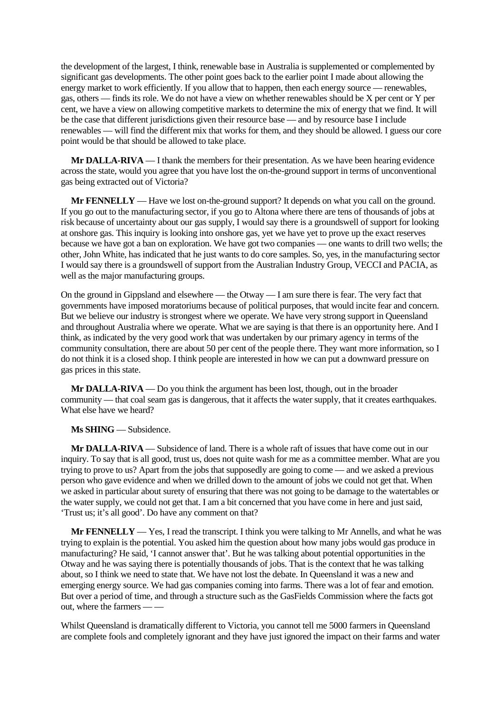the development of the largest, I think, renewable base in Australia is supplemented or complemented by significant gas developments. The other point goes back to the earlier point I made about allowing the energy market to work efficiently. If you allow that to happen, then each energy source — renewables, gas, others — finds its role. We do not have a view on whether renewables should be X per cent or Y per cent, we have a view on allowing competitive markets to determine the mix of energy that we find. It will be the case that different jurisdictions given their resource base — and by resource base I include renewables — will find the different mix that works for them, and they should be allowed. I guess our core point would be that should be allowed to take place.

**Mr DALLA-RIVA** — I thank the members for their presentation. As we have been hearing evidence across the state, would you agree that you have lost the on-the-ground support in terms of unconventional gas being extracted out of Victoria?

**Mr FENNELLY** — Have we lost on-the-ground support? It depends on what you call on the ground. If you go out to the manufacturing sector, if you go to Altona where there are tens of thousands of jobs at risk because of uncertainty about our gas supply, I would say there is a groundswell of support for looking at onshore gas. This inquiry is looking into onshore gas, yet we have yet to prove up the exact reserves because we have got a ban on exploration. We have got two companies — one wants to drill two wells; the other, John White, has indicated that he just wants to do core samples. So, yes, in the manufacturing sector I would say there is a groundswell of support from the Australian Industry Group, VECCI and PACIA, as well as the major manufacturing groups.

On the ground in Gippsland and elsewhere — the Otway — I am sure there is fear. The very fact that governments have imposed moratoriums because of political purposes, that would incite fear and concern. But we believe our industry is strongest where we operate. We have very strong support in Queensland and throughout Australia where we operate. What we are saying is that there is an opportunity here. And I think, as indicated by the very good work that was undertaken by our primary agency in terms of the community consultation, there are about 50 per cent of the people there. They want more information, so I do not think it is a closed shop. I think people are interested in how we can put a downward pressure on gas prices in this state.

**Mr DALLA-RIVA** — Do you think the argument has been lost, though, out in the broader community — that coal seam gas is dangerous, that it affects the water supply, that it creates earthquakes. What else have we heard?

**Ms SHING** — Subsidence.

**Mr DALLA-RIVA** — Subsidence of land. There is a whole raft of issues that have come out in our inquiry. To say that is all good, trust us, does not quite wash for me as a committee member. What are you trying to prove to us? Apart from the jobs that supposedly are going to come — and we asked a previous person who gave evidence and when we drilled down to the amount of jobs we could not get that. When we asked in particular about surety of ensuring that there was not going to be damage to the watertables or the water supply, we could not get that. I am a bit concerned that you have come in here and just said, 'Trust us; it's all good'. Do have any comment on that?

**Mr FENNELLY** — Yes, I read the transcript. I think you were talking to Mr Annells, and what he was trying to explain is the potential. You asked him the question about how many jobs would gas produce in manufacturing? He said, 'I cannot answer that'. But he was talking about potential opportunities in the Otway and he was saying there is potentially thousands of jobs. That is the context that he was talking about, so I think we need to state that. We have not lost the debate. In Queensland it was a new and emerging energy source. We had gas companies coming into farms. There was a lot of fear and emotion. But over a period of time, and through a structure such as the GasFields Commission where the facts got out, where the farmers  $-\frac{1}{2}$ 

Whilst Queensland is dramatically different to Victoria, you cannot tell me 5000 farmers in Queensland are complete fools and completely ignorant and they have just ignored the impact on their farms and water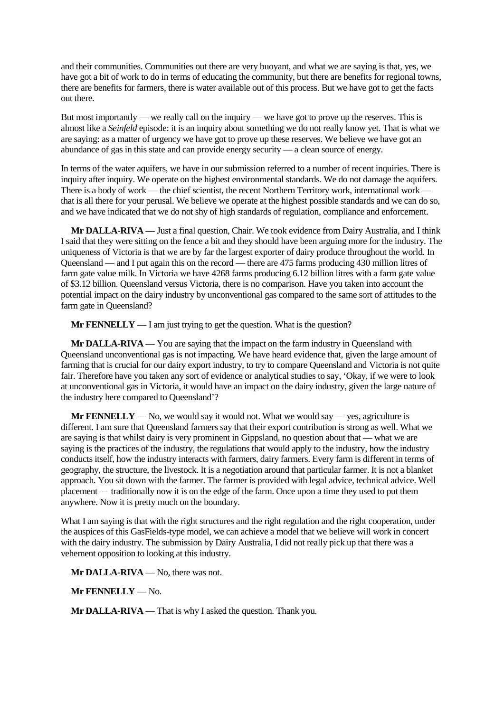and their communities. Communities out there are very buoyant, and what we are saying is that, yes, we have got a bit of work to do in terms of educating the community, but there are benefits for regional towns, there are benefits for farmers, there is water available out of this process. But we have got to get the facts out there.

But most importantly — we really call on the inquiry — we have got to prove up the reserves. This is almost like a *Seinfeld* episode: it is an inquiry about something we do not really know yet. That is what we are saying: as a matter of urgency we have got to prove up these reserves. We believe we have got an abundance of gas in this state and can provide energy security — a clean source of energy.

In terms of the water aquifers, we have in our submission referred to a number of recent inquiries. There is inquiry after inquiry. We operate on the highest environmental standards. We do not damage the aquifers. There is a body of work — the chief scientist, the recent Northern Territory work, international work that is all there for your perusal. We believe we operate at the highest possible standards and we can do so, and we have indicated that we do not shy of high standards of regulation, compliance and enforcement.

**Mr DALLA-RIVA** — Just a final question, Chair. We took evidence from Dairy Australia, and I think I said that they were sitting on the fence a bit and they should have been arguing more for the industry. The uniqueness of Victoria is that we are by far the largest exporter of dairy produce throughout the world. In Queensland — and I put again this on the record — there are 475 farms producing 430 million litres of farm gate value milk. In Victoria we have 4268 farms producing 6.12 billion litres with a farm gate value of \$3.12 billion. Queensland versus Victoria, there is no comparison. Have you taken into account the potential impact on the dairy industry by unconventional gas compared to the same sort of attitudes to the farm gate in Queensland?

**Mr FENNELLY** — I am just trying to get the question. What is the question?

**Mr DALLA-RIVA** — You are saying that the impact on the farm industry in Queensland with Queensland unconventional gas is not impacting. We have heard evidence that, given the large amount of farming that is crucial for our dairy export industry, to try to compare Queensland and Victoria is not quite fair. Therefore have you taken any sort of evidence or analytical studies to say, 'Okay, if we were to look at unconventional gas in Victoria, it would have an impact on the dairy industry, given the large nature of the industry here compared to Queensland'?

**Mr FENNELLY** — No, we would say it would not. What we would say — yes, agriculture is different. I am sure that Queensland farmers say that their export contribution is strong as well. What we are saying is that whilst dairy is very prominent in Gippsland, no question about that — what we are saying is the practices of the industry, the regulations that would apply to the industry, how the industry conducts itself, how the industry interacts with farmers, dairy farmers. Every farm is different in terms of geography, the structure, the livestock. It is a negotiation around that particular farmer. It is not a blanket approach. You sit down with the farmer. The farmer is provided with legal advice, technical advice. Well placement — traditionally now it is on the edge of the farm. Once upon a time they used to put them anywhere. Now it is pretty much on the boundary.

What I am saying is that with the right structures and the right regulation and the right cooperation, under the auspices of this GasFields-type model, we can achieve a model that we believe will work in concert with the dairy industry. The submission by Dairy Australia, I did not really pick up that there was a vehement opposition to looking at this industry.

**Mr DALLA-RIVA** — No, there was not.

**Mr FENNELLY** — No.

**Mr DALLA-RIVA** — That is why I asked the question. Thank you.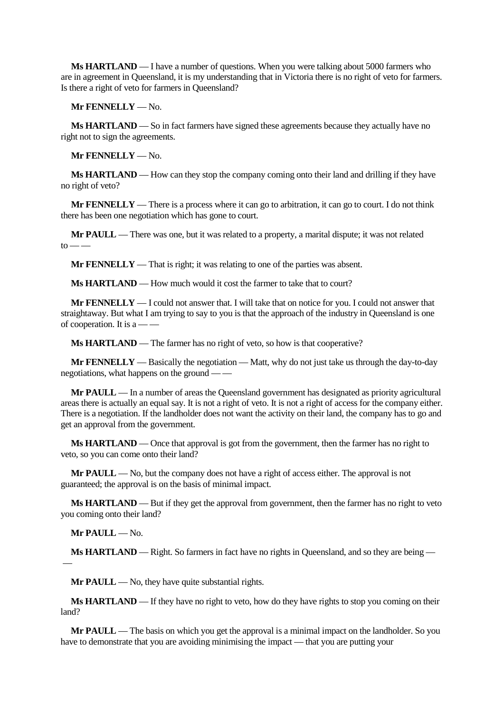**Ms HARTLAND** — I have a number of questions. When you were talking about 5000 farmers who are in agreement in Queensland, it is my understanding that in Victoria there is no right of veto for farmers. Is there a right of veto for farmers in Queensland?

**Mr FENNELLY** — No.

**Ms HARTLAND** — So in fact farmers have signed these agreements because they actually have no right not to sign the agreements.

**Mr FENNELLY** — No.

**Ms HARTLAND** — How can they stop the company coming onto their land and drilling if they have no right of veto?

**Mr FENNELLY** — There is a process where it can go to arbitration, it can go to court. I do not think there has been one negotiation which has gone to court.

**Mr PAULL** — There was one, but it was related to a property, a marital dispute; it was not related  $to$  — —

**Mr FENNELLY** — That is right; it was relating to one of the parties was absent.

**Ms HARTLAND** — How much would it cost the farmer to take that to court?

**Mr FENNELLY** — I could not answer that. I will take that on notice for you. I could not answer that straightaway. But what I am trying to say to you is that the approach of the industry in Queensland is one of cooperation. It is  $a \rightarrow -$ 

**Ms HARTLAND** — The farmer has no right of veto, so how is that cooperative?

**Mr FENNELLY** — Basically the negotiation — Matt, why do not just take us through the day-to-day negotiations, what happens on the ground — —

**Mr PAULL** — In a number of areas the Queensland government has designated as priority agricultural areas there is actually an equal say. It is not a right of veto. It is not a right of access for the company either. There is a negotiation. If the landholder does not want the activity on their land, the company has to go and get an approval from the government.

**Ms HARTLAND** — Once that approval is got from the government, then the farmer has no right to veto, so you can come onto their land?

**Mr PAULL** — No, but the company does not have a right of access either. The approval is not guaranteed; the approval is on the basis of minimal impact.

**Ms HARTLAND** — But if they get the approval from government, then the farmer has no right to veto you coming onto their land?

**Mr PAULL** — No.

**Ms HARTLAND** — Right. So farmers in fact have no rights in Queensland, and so they are being — —

**Mr PAULL** — No, they have quite substantial rights.

**Ms HARTLAND** — If they have no right to veto, how do they have rights to stop you coming on their land?

**Mr PAULL** — The basis on which you get the approval is a minimal impact on the landholder. So you have to demonstrate that you are avoiding minimising the impact — that you are putting your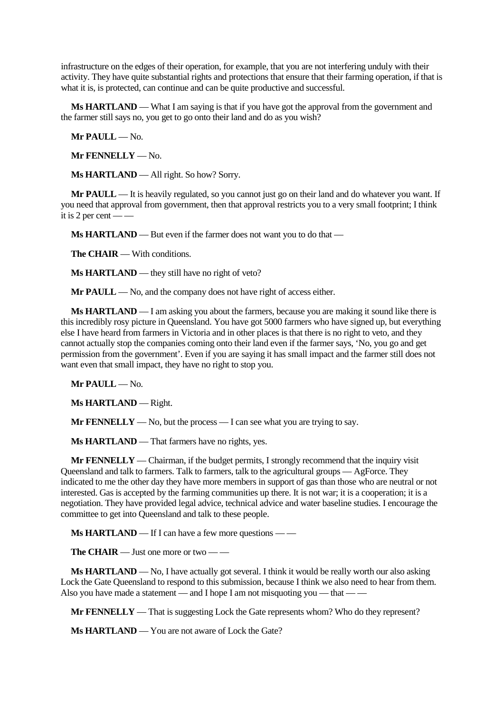infrastructure on the edges of their operation, for example, that you are not interfering unduly with their activity. They have quite substantial rights and protections that ensure that their farming operation, if that is what it is, is protected, can continue and can be quite productive and successful.

**Ms HARTLAND** — What I am saying is that if you have got the approval from the government and the farmer still says no, you get to go onto their land and do as you wish?

**Mr PAULL** — No.

**Mr FENNELLY** — No.

**Ms HARTLAND** — All right. So how? Sorry.

**Mr PAULL** — It is heavily regulated, so you cannot just go on their land and do whatever you want. If you need that approval from government, then that approval restricts you to a very small footprint; I think it is 2 per cent — —

**Ms HARTLAND** — But even if the farmer does not want you to do that —

**The CHAIR** — With conditions.

**Ms HARTLAND** — they still have no right of veto?

**Mr PAULL** — No, and the company does not have right of access either.

**Ms HARTLAND** — I am asking you about the farmers, because you are making it sound like there is this incredibly rosy picture in Queensland. You have got 5000 farmers who have signed up, but everything else I have heard from farmers in Victoria and in other places is that there is no right to veto, and they cannot actually stop the companies coming onto their land even if the farmer says, 'No, you go and get permission from the government'. Even if you are saying it has small impact and the farmer still does not want even that small impact, they have no right to stop you.

**Mr PAULL** — No.

**Ms HARTLAND** — Right.

**Mr FENNELLY** — No, but the process — I can see what you are trying to say.

**Ms HARTLAND** — That farmers have no rights, yes.

**Mr FENNELLY** — Chairman, if the budget permits, I strongly recommend that the inquiry visit Queensland and talk to farmers. Talk to farmers, talk to the agricultural groups — AgForce. They indicated to me the other day they have more members in support of gas than those who are neutral or not interested. Gas is accepted by the farming communities up there. It is not war; it is a cooperation; it is a negotiation. They have provided legal advice, technical advice and water baseline studies. I encourage the committee to get into Queensland and talk to these people.

**Ms HARTLAND** — If I can have a few more questions — —

**The CHAIR** — Just one more or two — —

**Ms HARTLAND** — No, I have actually got several. I think it would be really worth our also asking Lock the Gate Queensland to respond to this submission, because I think we also need to hear from them. Also you have made a statement — and I hope I am not misquoting you — that — —

**Mr FENNELLY** — That is suggesting Lock the Gate represents whom? Who do they represent?

**Ms HARTLAND** — You are not aware of Lock the Gate?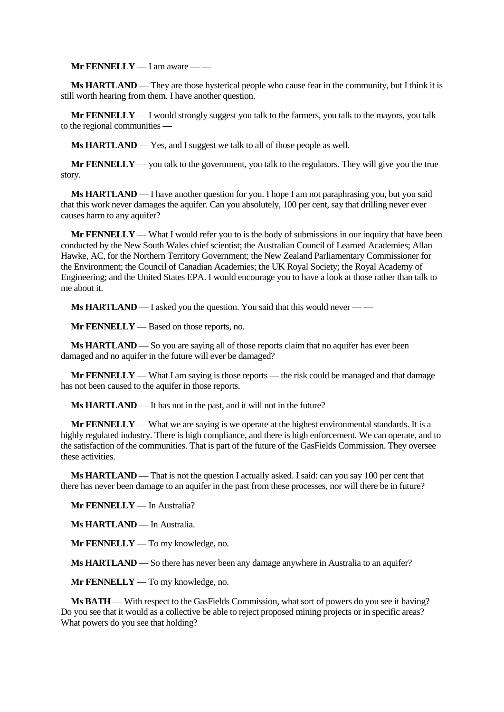**Mr FENNELLY** — I am aware — —

**Ms HARTLAND** — They are those hysterical people who cause fear in the community, but I think it is still worth hearing from them. I have another question.

**Mr FENNELLY** — I would strongly suggest you talk to the farmers, you talk to the mayors, you talk to the regional communities —

**Ms HARTLAND** — Yes, and I suggest we talk to all of those people as well.

**Mr FENNELLY** — you talk to the government, you talk to the regulators. They will give you the true story.

**Ms HARTLAND** — I have another question for you. I hope I am not paraphrasing you, but you said that this work never damages the aquifer. Can you absolutely, 100 per cent, say that drilling never ever causes harm to any aquifer?

**Mr FENNELLY** — What I would refer you to is the body of submissions in our inquiry that have been conducted by the New South Wales chief scientist; the Australian Council of Learned Academies; Allan Hawke, AC, for the Northern Territory Government; the New Zealand Parliamentary Commissioner for the Environment; the Council of Canadian Academies; the UK Royal Society; the Royal Academy of Engineering; and the United States EPA. I would encourage you to have a look at those rather than talk to me about it.

**Ms HARTLAND** — I asked you the question. You said that this would never — —

**Mr FENNELLY** — Based on those reports, no.

**Ms HARTLAND** — So you are saying all of those reports claim that no aquifer has ever been damaged and no aquifer in the future will ever be damaged?

**Mr FENNELLY** — What I am saying is those reports — the risk could be managed and that damage has not been caused to the aquifer in those reports.

**Ms HARTLAND** — It has not in the past, and it will not in the future?

**Mr FENNELLY** — What we are saying is we operate at the highest environmental standards. It is a highly regulated industry. There is high compliance, and there is high enforcement. We can operate, and to the satisfaction of the communities. That is part of the future of the GasFields Commission. They oversee these activities.

**Ms HARTLAND** — That is not the question I actually asked. I said: can you say 100 per cent that there has never been damage to an aquifer in the past from these processes, nor will there be in future?

**Mr FENNELLY** — In Australia?

**Ms HARTLAND** — In Australia.

**Mr FENNELLY** — To my knowledge, no.

**Ms HARTLAND** — So there has never been any damage anywhere in Australia to an aquifer?

**Mr FENNELLY** — To my knowledge, no.

**Ms BATH** — With respect to the GasFields Commission, what sort of powers do you see it having? Do you see that it would as a collective be able to reject proposed mining projects or in specific areas? What powers do you see that holding?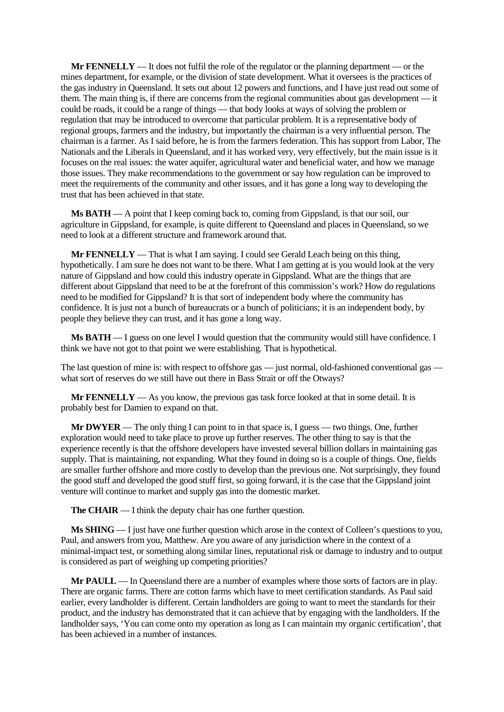**Mr FENNELLY** — It does not fulfil the role of the regulator or the planning department — or the mines department, for example, or the division of state development. What it oversees is the practices of the gas industry in Queensland. It sets out about 12 powers and functions, and I have just read out some of them. The main thing is, if there are concerns from the regional communities about gas development — it could be roads, it could be a range of things — that body looks at ways of solving the problem or regulation that may be introduced to overcome that particular problem. It is a representative body of regional groups, farmers and the industry, but importantly the chairman is a very influential person. The chairman is a farmer. As I said before, he is from the farmers federation. This has support from Labor, The Nationals and the Liberals in Queensland, and it has worked very, very effectively, but the main issue is it focuses on the real issues: the water aquifer, agricultural water and beneficial water, and how we manage those issues. They make recommendations to the government or say how regulation can be improved to meet the requirements of the community and other issues, and it has gone a long way to developing the trust that has been achieved in that state.

**Ms BATH** — A point that I keep coming back to, coming from Gippsland, is that our soil, our agriculture in Gippsland, for example, is quite different to Queensland and places in Queensland, so we need to look at a different structure and framework around that.

**Mr FENNELLY** — That is what I am saying. I could see Gerald Leach being on this thing, hypothetically. I am sure he does not want to be there. What I am getting at is you would look at the very nature of Gippsland and how could this industry operate in Gippsland. What are the things that are different about Gippsland that need to be at the forefront of this commission's work? How do regulations need to be modified for Gippsland? It is that sort of independent body where the community has confidence. It is just not a bunch of bureaucrats or a bunch of politicians; it is an independent body, by people they believe they can trust, and it has gone a long way.

**Ms BATH** — I guess on one level I would question that the community would still have confidence. I think we have not got to that point we were establishing. That is hypothetical.

The last question of mine is: with respect to offshore gas — just normal, old-fashioned conventional gas what sort of reserves do we still have out there in Bass Strait or off the Otways?

**Mr FENNELLY** — As you know, the previous gas task force looked at that in some detail. It is probably best for Damien to expand on that.

**Mr DWYER** — The only thing I can point to in that space is, I guess — two things. One, further exploration would need to take place to prove up further reserves. The other thing to say is that the experience recently is that the offshore developers have invested several billion dollars in maintaining gas supply. That is maintaining, not expanding. What they found in doing so is a couple of things. One, fields are smaller further offshore and more costly to develop than the previous one. Not surprisingly, they found the good stuff and developed the good stuff first, so going forward, it is the case that the Gippsland joint venture will continue to market and supply gas into the domestic market.

**The CHAIR** — I think the deputy chair has one further question.

**Ms SHING** — I just have one further question which arose in the context of Colleen's questions to you, Paul, and answers from you, Matthew. Are you aware of any jurisdiction where in the context of a minimal-impact test, or something along similar lines, reputational risk or damage to industry and to output is considered as part of weighing up competing priorities?

**Mr PAULL** — In Queensland there are a number of examples where those sorts of factors are in play. There are organic farms. There are cotton farms which have to meet certification standards. As Paul said earlier, every landholder is different. Certain landholders are going to want to meet the standards for their product, and the industry has demonstrated that it can achieve that by engaging with the landholders. If the landholder says, 'You can come onto my operation as long as I can maintain my organic certification', that has been achieved in a number of instances.